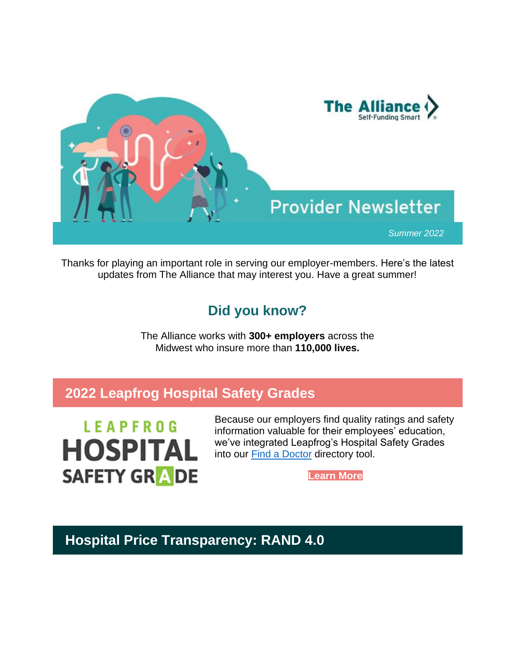

Thanks for playing an important role in serving our employer-members. Here's the latest updates from The Alliance that may interest you. Have a great summer!

# **Did you know?**

The Alliance works with **300+ employers** across the Midwest who insure more than **110,000 lives.**

# **2022 Leapfrog Hospital Safety Grades**

**LEAPFROG HOSPITAL SAFETY GRADE** 

Because our employers find quality ratings and safety information valuable for their employees' education, we've integrated Leapfrog's Hospital Safety Grades into our [Find a Doctor](https://nam12.safelinks.protection.outlook.com/?url=http%3A%2F%2Fsend.the-alliance.org%2Flink.cfm%3Fr%3Dt1nVu6zhfyhdHlVQCxZuKw~~%26pe%3DfRA5DDrL4-nVCvlb7r7eybaz1N72ua2S5CwxvZW3Ku-zDLQ-Q9mvTeAXQ9kmRP1Hx9aYTsDHu4Id27k4tGOFqg~~%26t%3D4ADqYxnnxvlMVOpvCSkjJQ~~&data=05%7C01%7Cashohoney%40the-alliance.org%7Cce479582124741fe85d308da4a321980%7Cb887508f1654468eb5f63fec959c408d%7C0%7C0%7C637903876315453033%7CUnknown%7CTWFpbGZsb3d8eyJWIjoiMC4wLjAwMDAiLCJQIjoiV2luMzIiLCJBTiI6Ik1haWwiLCJXVCI6Mn0%3D%7C3000%7C%7C%7C&sdata=dPS7RyadAWdmPqDWbAyymrbnRtVxAfngb9K621mC3mU%3D&reserved=0) directory tool.

**[Learn More](https://nam12.safelinks.protection.outlook.com/?url=http%3A%2F%2Fsend.the-alliance.org%2Flink.cfm%3Fr%3Dt1nVu6zhfyhdHlVQCxZuKw~~%26pe%3D9L_9e1aIOYRkolaVX9hM0lApASjR27PJ5vj_0KGDZPugnG4x2MZm8FdhMCN0OuDQux7EI4slUJpSXf6D6-jPCA~~%26t%3D4ADqYxnnxvlMVOpvCSkjJQ~~&data=05%7C01%7Cashohoney%40the-alliance.org%7Cce479582124741fe85d308da4a321980%7Cb887508f1654468eb5f63fec959c408d%7C0%7C0%7C637903876316077911%7CUnknown%7CTWFpbGZsb3d8eyJWIjoiMC4wLjAwMDAiLCJQIjoiV2luMzIiLCJBTiI6Ik1haWwiLCJXVCI6Mn0%3D%7C3000%7C%7C%7C&sdata=Tb08uL%2BBPz5ZNULVffUKaYAH56xWUUsh69A8QuEGguw%3D&reserved=0)**

# **Hospital Price Transparency: RAND 4.0**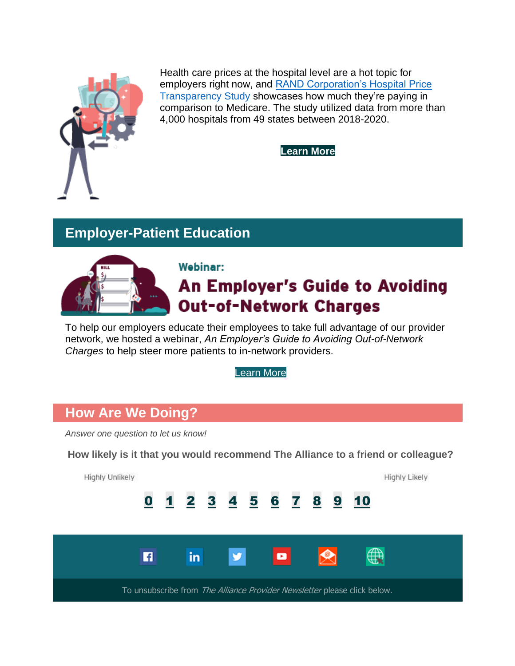

Health care prices at the hospital level are a hot topic for employers right now, and [RAND Corporation's Hospital Price](https://nam12.safelinks.protection.outlook.com/?url=http%3A%2F%2Fsend.the-alliance.org%2Flink.cfm%3Fr%3Dt1nVu6zhfyhdHlVQCxZuKw~~%26pe%3DLMjn-33g6_UbM09gKgGEeR4erEjyaFPewXz9QU9Sf0osDQPGhRqCu9C7Wfw9RKmhK_u0-_Njb3Jo2s0rhGL-Cw~~%26t%3D4ADqYxnnxvlMVOpvCSkjJQ~~&data=05%7C01%7Cashohoney%40the-alliance.org%7Cce479582124741fe85d308da4a321980%7Cb887508f1654468eb5f63fec959c408d%7C0%7C0%7C637903876316077911%7CUnknown%7CTWFpbGZsb3d8eyJWIjoiMC4wLjAwMDAiLCJQIjoiV2luMzIiLCJBTiI6Ik1haWwiLCJXVCI6Mn0%3D%7C3000%7C%7C%7C&sdata=QsHO2E3Q92IJlXTVMpTwS1y7bMwDSXE0YQD5QRoyq0U%3D&reserved=0)  [Transparency Study](https://nam12.safelinks.protection.outlook.com/?url=http%3A%2F%2Fsend.the-alliance.org%2Flink.cfm%3Fr%3Dt1nVu6zhfyhdHlVQCxZuKw~~%26pe%3DLMjn-33g6_UbM09gKgGEeR4erEjyaFPewXz9QU9Sf0osDQPGhRqCu9C7Wfw9RKmhK_u0-_Njb3Jo2s0rhGL-Cw~~%26t%3D4ADqYxnnxvlMVOpvCSkjJQ~~&data=05%7C01%7Cashohoney%40the-alliance.org%7Cce479582124741fe85d308da4a321980%7Cb887508f1654468eb5f63fec959c408d%7C0%7C0%7C637903876316077911%7CUnknown%7CTWFpbGZsb3d8eyJWIjoiMC4wLjAwMDAiLCJQIjoiV2luMzIiLCJBTiI6Ik1haWwiLCJXVCI6Mn0%3D%7C3000%7C%7C%7C&sdata=QsHO2E3Q92IJlXTVMpTwS1y7bMwDSXE0YQD5QRoyq0U%3D&reserved=0) showcases how much they're paying in comparison to Medicare. The study utilized data from more than 4,000 hospitals from 49 states between 2018-2020.

**[Learn More](https://nam12.safelinks.protection.outlook.com/?url=http%3A%2F%2Fsend.the-alliance.org%2Flink.cfm%3Fr%3Dt1nVu6zhfyhdHlVQCxZuKw~~%26pe%3D2sj9fPWAlKs6ivrclRMCP8x9xN6yQvviXJEDT86kFx3HOGdep07fxUh4dNDOJij3XFeeDGeiClqmzUTnTl-M6g~~%26t%3D4ADqYxnnxvlMVOpvCSkjJQ~~&data=05%7C01%7Cashohoney%40the-alliance.org%7Cce479582124741fe85d308da4a321980%7Cb887508f1654468eb5f63fec959c408d%7C0%7C0%7C637903876316077911%7CUnknown%7CTWFpbGZsb3d8eyJWIjoiMC4wLjAwMDAiLCJQIjoiV2luMzIiLCJBTiI6Ik1haWwiLCJXVCI6Mn0%3D%7C3000%7C%7C%7C&sdata=fbcmKq9rAisCy2RuEtJ5REVhb6HQXDIjVQDtj1E7EBo%3D&reserved=0)**

## **Employer-Patient Education**



### Webinar:

# **An Employer's Guide to Avoiding Out-of-Network Charges**

To help our employers educate their employees to take full advantage of our provider network, we hosted a webinar, *An Employer's Guide to Avoiding Out-of-Network Charges* to help steer more patients to in-network providers.

[Learn More](https://nam12.safelinks.protection.outlook.com/?url=http%3A%2F%2Fsend.the-alliance.org%2Flink.cfm%3Fr%3Dt1nVu6zhfyhdHlVQCxZuKw~~%26pe%3DLuFUBlS4maUua87hMGm9BF7GYAUCO4ye6OFVQ_NGdDo0tcJidzyGINeOqibLC9b81BZ_kWPGGke1B1Q0P0WENQ~~%26t%3D4ADqYxnnxvlMVOpvCSkjJQ~~&data=05%7C01%7Cashohoney%40the-alliance.org%7Cce479582124741fe85d308da4a321980%7Cb887508f1654468eb5f63fec959c408d%7C0%7C0%7C637903876316077911%7CUnknown%7CTWFpbGZsb3d8eyJWIjoiMC4wLjAwMDAiLCJQIjoiV2luMzIiLCJBTiI6Ik1haWwiLCJXVCI6Mn0%3D%7C3000%7C%7C%7C&sdata=csyoC8u5B222nFztdLHPxrh8Fze%2B7ER6SzQ7o%2BunHio%3D&reserved=0)

## **How Are We Doing?**

*Answer one question to let us know!*

**How likely is it that you would recommend The Alliance to a friend or colleague?**